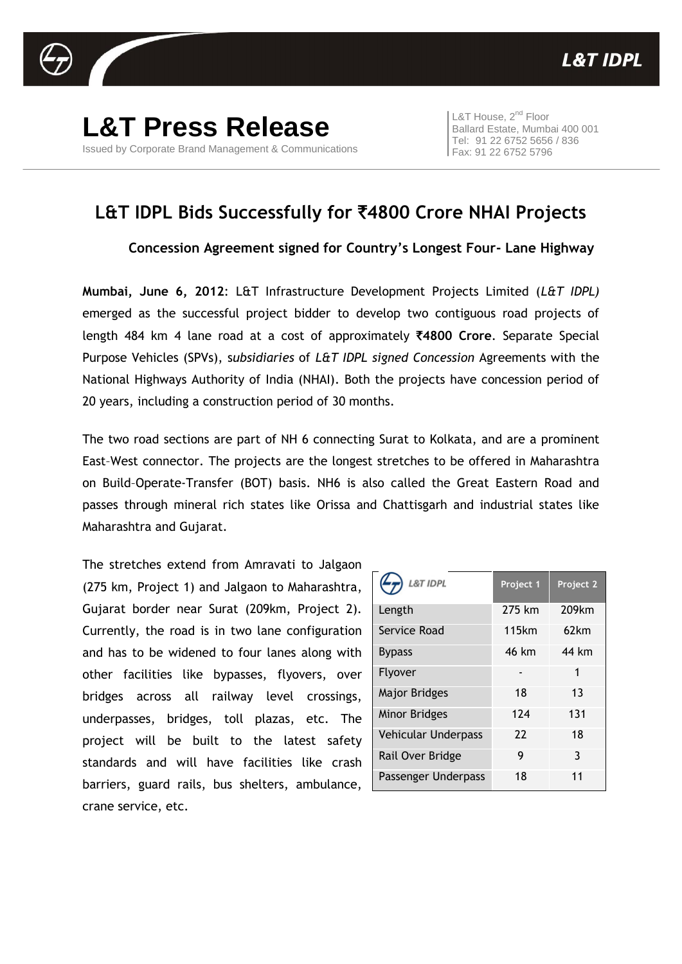

**L&T Press Release** Issued by Corporate Brand Management & Communications

L&T House, 2<sup>nd</sup> Floor Ballard Estate, Mumbai 400 001 Tel: 91 22 6752 5656 / 836 Fax: 91 22 6752 5796

## **L&T IDPL Bids Successfully for** `**4800 Crore NHAI Projects**

**Concession Agreement signed for Country's Longest Four- Lane Highway**

**Mumbai, June 6, 2012**: L&T Infrastructure Development Projects Limited (*L&T IDPL)* emerged as the successful project bidder to develop two contiguous road projects of length 484 km 4 lane road at a cost of approximately `**4800 Crore**. Separate Special Purpose Vehicles (SPVs), s*ubsidiaries* of *L&T IDPL signed Concession* Agreements with the National Highways Authority of India (NHAI). Both the projects have concession period of 20 years, including a construction period of 30 months.

The two road sections are part of NH 6 connecting Surat to Kolkata, and are a prominent East–West connector. The projects are the longest stretches to be offered in Maharashtra on Build–Operate-Transfer (BOT) basis. NH6 is also called the Great Eastern Road and passes through mineral rich states like Orissa and Chattisgarh and industrial states like Maharashtra and Gujarat.

The stretches extend from Amravati to Jalgaon (275 km, Project 1) and Jalgaon to Maharashtra, Gujarat border near Surat (209km, Project 2). Currently, the road is in two lane configuration and has to be widened to four lanes along with other facilities like bypasses, flyovers, over bridges across all railway level crossings, underpasses, bridges, toll plazas, etc. The project will be built to the latest safety standards and will have facilities like crash barriers, guard rails, bus shelters, ambulance, crane service, etc.

| <b>L&amp;T IDPL</b>        | Project 1 | Project 2 |
|----------------------------|-----------|-----------|
| Length                     | 275 km    | 209km     |
| Service Road               | 115km     | 62km      |
| <b>Bypass</b>              | 46 km     | 44 km     |
| Flyover                    |           | 1         |
| <b>Major Bridges</b>       | 18        | 13        |
| Minor Bridges              | 124       | 131       |
| <b>Vehicular Underpass</b> | 22        | 18        |
| Rail Over Bridge           | 9         | 3         |
| Passenger Underpass        | 18        | 11        |